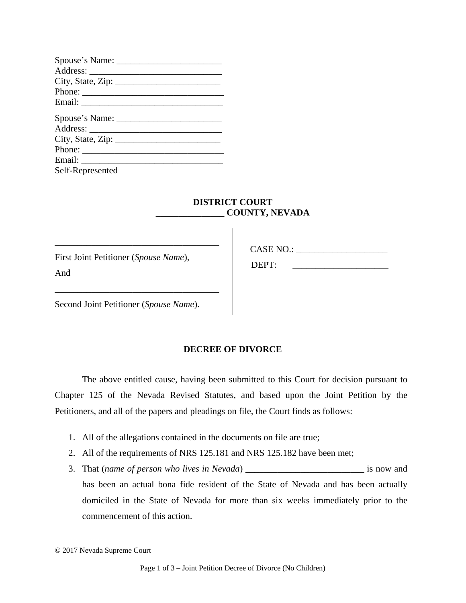| Phone:           |
|------------------|
|                  |
|                  |
|                  |
| Phone:           |
|                  |
| Self-Represented |

## **DISTRICT COURT**  \_\_\_\_\_\_\_\_\_\_\_\_\_\_\_ **COUNTY, NEVADA**

 $\overline{\phantom{a}}$ 

First Joint Petitioner (*Spouse Name*), And

\_\_\_\_\_\_\_\_\_\_\_\_\_\_\_\_\_\_\_\_\_\_\_\_\_\_\_\_\_\_\_\_\_\_\_\_

\_\_\_\_\_\_\_\_\_\_\_\_\_\_\_\_\_\_\_\_\_\_\_\_\_\_\_\_\_\_\_\_\_\_\_\_

CASE NO.:

DEPT:

Second Joint Petitioner (*Spouse Name*).

## **DECREE OF DIVORCE**

The above entitled cause, having been submitted to this Court for decision pursuant to Chapter 125 of the Nevada Revised Statutes, and based upon the Joint Petition by the Petitioners, and all of the papers and pleadings on file, the Court finds as follows:

- 1. All of the allegations contained in the documents on file are true;
- 2. All of the requirements of NRS 125.181 and NRS 125.182 have been met;
- 3. That (*name of person who lives in Nevada*) \_\_\_\_\_\_\_\_\_\_\_\_\_\_\_\_\_\_\_\_\_\_\_\_\_\_ is now and has been an actual bona fide resident of the State of Nevada and has been actually domiciled in the State of Nevada for more than six weeks immediately prior to the commencement of this action.

<sup>© 2017</sup> Nevada Supreme Court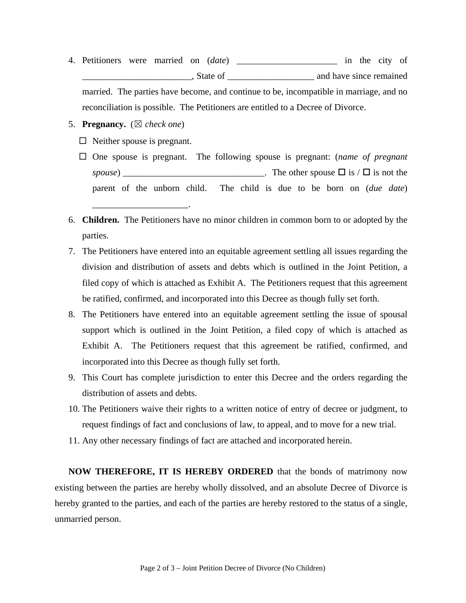4. Petitioners were married on (*date*) \_\_\_\_\_\_\_\_\_\_\_\_\_\_\_\_\_\_\_\_\_\_ in the city of \_\_\_\_\_\_\_\_\_\_\_\_\_\_\_\_\_\_\_\_\_\_\_\_, State of \_\_\_\_\_\_\_\_\_\_\_\_\_\_\_\_\_\_\_ and have since remained

married. The parties have become, and continue to be, incompatible in marriage, and no reconciliation is possible. The Petitioners are entitled to a Decree of Divorce.

- 5. **Pregnancy.** (☒ *check one*)
	- $\Box$  Neither spouse is pregnant.
	- One spouse is pregnant. The following spouse is pregnant: (*name of pregnant spouse*) The other spouse  $\Box$  is  $/\Box$  is not the parent of the unborn child. The child is due to be born on (*due date*) \_\_\_\_\_\_\_\_\_\_\_\_\_\_\_\_\_\_\_\_\_.
- 6. **Children.** The Petitioners have no minor children in common born to or adopted by the parties.
- 7. The Petitioners have entered into an equitable agreement settling all issues regarding the division and distribution of assets and debts which is outlined in the Joint Petition, a filed copy of which is attached as Exhibit A. The Petitioners request that this agreement be ratified, confirmed, and incorporated into this Decree as though fully set forth.
- 8. The Petitioners have entered into an equitable agreement settling the issue of spousal support which is outlined in the Joint Petition, a filed copy of which is attached as Exhibit A. The Petitioners request that this agreement be ratified, confirmed, and incorporated into this Decree as though fully set forth.
- 9. This Court has complete jurisdiction to enter this Decree and the orders regarding the distribution of assets and debts.
- 10. The Petitioners waive their rights to a written notice of entry of decree or judgment, to request findings of fact and conclusions of law, to appeal, and to move for a new trial.
- 11. Any other necessary findings of fact are attached and incorporated herein.

**NOW THEREFORE, IT IS HEREBY ORDERED** that the bonds of matrimony now existing between the parties are hereby wholly dissolved, and an absolute Decree of Divorce is hereby granted to the parties, and each of the parties are hereby restored to the status of a single, unmarried person.